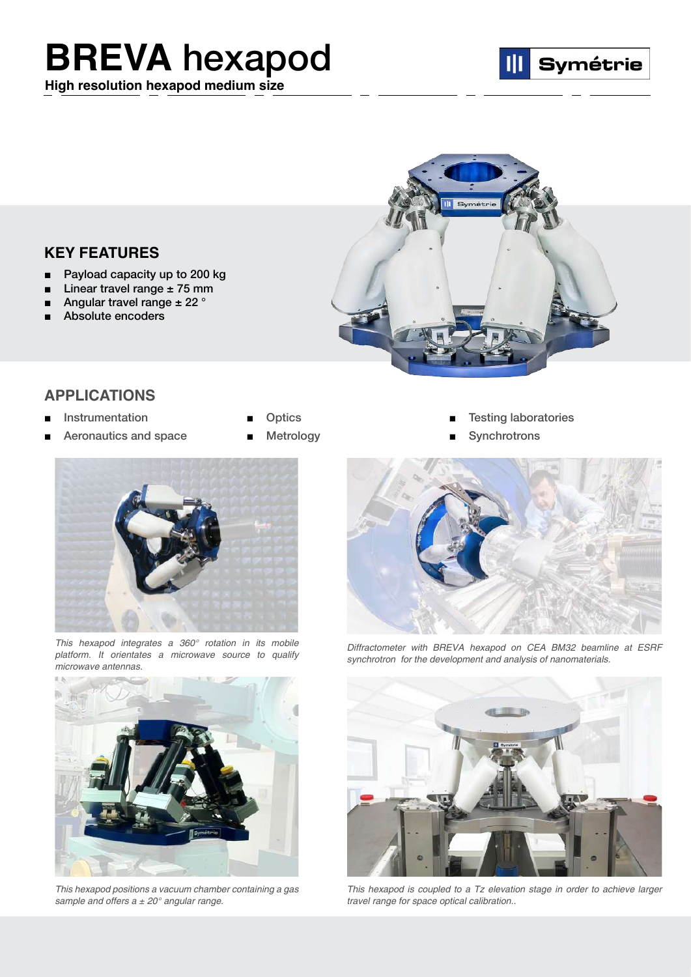## **BREVA** [hexapod](https://symetrie.fr/en/hexapods/breva/)

**High resolution hexapod medium size**





## **KEY FEATURES**

- Payload capacity up to 200 kg
- Linear travel range  $± 75$  mm
- Angular travel range  $\pm$  22  $^{\circ}$
- Absolute encoders

## **APPLICATIONS**

- 
- Aeronautics and space Metrology Synchrotrons
- 
- 



*This hexapod integrates a 360° rotation in its mobile platform. It orientates a microwave source to qualify microwave antennas.*



*This hexapod positions a vacuum chamber containing a gas sample and offers a ± 20° angular range.*

- Instrumentation Optics [Testing laboratories](https://symetrie.fr/en/hexapods/breva/)
	-



*Diffractometer with BREVA hexapod on CEA BM32 beamline at ESRF synchrotron for the development and analysis of nanomaterials.*



*This hexapod is coupled to a Tz elevation stage in order to achieve larger travel range for space optical calibration..*